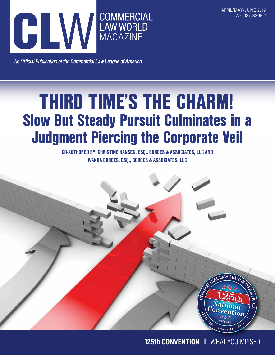

An Official Publication of the Commercial Law League of America

## THIRD TIME'S THE CHARM! Slow But Steady Pursuit Culminates in a Judgment Piercing the Corporate Veil

CO-AUTHORED BY: CHRISTINE HANSEN, ESQ., BORGES & ASSOCIATES, LLC AND WANDA BORGES, ESO., BORGES & ASSOCIATES, LLC



125th Convention | What You Missed